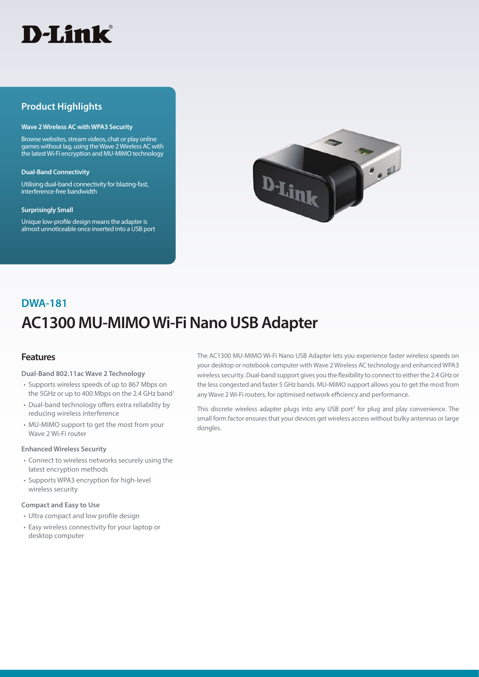

## **Product Highlights**

### **Wave 2 Wireless AC with WPA3 Security**

Browse websites, stream videos, chat or play online games without lag, using the Wave 2 Wireless AC with the latest Wi-Fi encryption and MU-MIMO technology

#### **Dual-Band Connectivity**

Utilising dual-band connectivity for blazing-fast, interference-free bandwidth

### **Surprisingly Small**

Unique low-profile design means the adapter is almost unnoticeable once inserted into a USB port



# **AC1300 MU-MIMO Wi-Fi Nano USB Adapter DWA-181**

### **Features**

**Dual-Band 802.11ac Wave 2 Technology**

- Supports wireless speeds of up to 867 Mbps on the 5GHz or up to 400 Mbps on the 2.4 GHz band<sup>1</sup>
- Dual-band technology offers extra reliability by reducing wireless interference
- MU-MIMO support to get the most from your Wave 2 Wi-Fi router

### **Enhanced Wireless Security**

- Connect to wireless networks securely using the latest encryption methods
- Supports WPA3 encryption for high-level wireless security

### **Compact and Easy to Use**

- Ultra compact and low profile design
- Easy wireless connectivity for your laptop or desktop computer

The AC1300 MU-MIMO Wi-Fi Nano USB Adapter lets you experience faster wireless speeds on your desktop or notebook computer with Wave 2 Wireless AC technology and enhanced WPA3 wireless security. Dual-band support gives you the flexibility to connect to either the 2.4 GHz or the less congested and faster 5 GHz bands. MU-MIMO support allows you to get the most from any Wave 2 Wi-Fi routers, for optimised network efficiency and performance.

This discrete wireless adapter plugs into any USB port<sup>2</sup> for plug and play convenience. The small form factor ensures that your devices get wireless access without bulky antennas or large dongles.